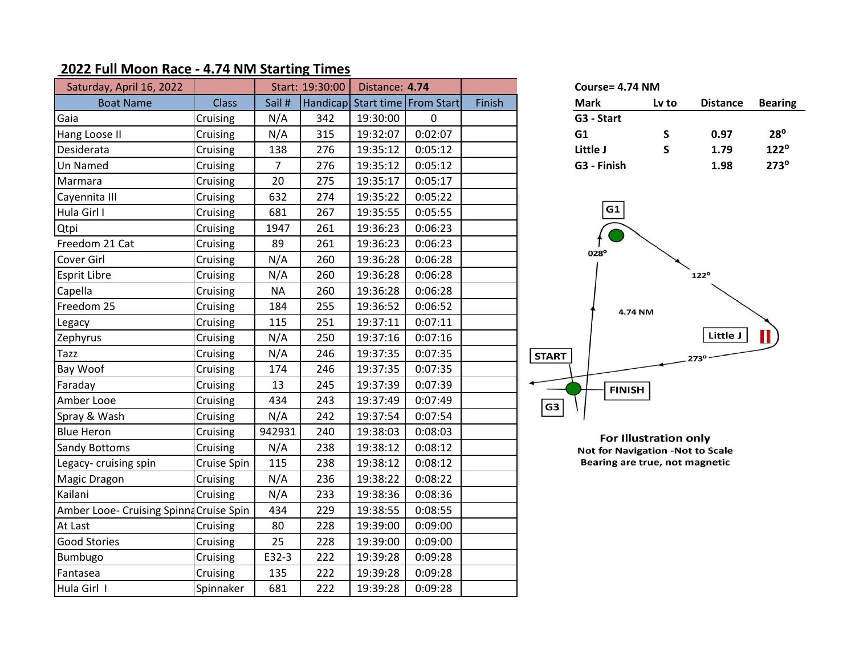## **2022 Full Moon Race - 4.74 NM Starting Times**

| Saturday, April 16, 2022                |              | Start: 19:30:00<br>Distance: 4.74 |     |          |                                | Course= 4.74 NM |                                         |                              |                 |                |
|-----------------------------------------|--------------|-----------------------------------|-----|----------|--------------------------------|-----------------|-----------------------------------------|------------------------------|-----------------|----------------|
| <b>Boat Name</b>                        | <b>Class</b> | Sail #                            |     |          | Handicap Start time From Start | Finish          | <b>Mark</b>                             | Lv to                        | <b>Distance</b> | <b>Bearing</b> |
| Gaia                                    | Cruising     | N/A                               | 342 | 19:30:00 | 0                              |                 | G3 - Start                              |                              |                 |                |
| Hang Loose II                           | Cruising     | N/A                               | 315 | 19:32:07 | 0:02:07                        |                 | G1                                      | S                            | 0.97            | $28^{\circ}$   |
| Desiderata                              | Cruising     | 138                               | 276 | 19:35:12 | 0:05:12                        |                 | Little J                                | $\mathsf{s}$                 | 1.79            | $122^{\circ}$  |
| Un Named                                | Cruising     | $\overline{7}$                    | 276 | 19:35:12 | 0:05:12                        |                 | G3 - Finish                             |                              | 1.98            | $273^\circ$    |
| Marmara                                 | Cruising     | 20                                | 275 | 19:35:17 | 0:05:17                        |                 |                                         |                              |                 |                |
| Cayennita III                           | Cruising     | 632                               | 274 | 19:35:22 | 0:05:22                        |                 |                                         |                              |                 |                |
| Hula Girl I                             | Cruising     | 681                               | 267 | 19:35:55 | 0:05:55                        |                 | G1                                      |                              |                 |                |
| Qtpi                                    | Cruising     | 1947                              | 261 | 19:36:23 | 0:06:23                        |                 |                                         |                              |                 |                |
| Freedom 21 Cat                          | Cruising     | 89                                | 261 | 19:36:23 | 0:06:23                        |                 |                                         |                              |                 |                |
| Cover Girl                              | Cruising     | N/A                               | 260 | 19:36:28 | 0:06:28                        |                 | 028°                                    |                              |                 |                |
| <b>Esprit Libre</b>                     | Cruising     | N/A                               | 260 | 19:36:28 | 0:06:28                        |                 |                                         |                              | $122^{\circ}$   |                |
| Capella                                 | Cruising     | <b>NA</b>                         | 260 | 19:36:28 | 0:06:28                        |                 |                                         |                              |                 |                |
| Freedom 25                              | Cruising     | 184                               | 255 | 19:36:52 | 0:06:52                        |                 | 4.74 NM                                 |                              |                 |                |
| Legacy                                  | Cruising     | 115                               | 251 | 19:37:11 | 0:07:11                        |                 |                                         |                              |                 |                |
| Zephyrus                                | Cruising     | N/A                               | 250 | 19:37:16 | 0:07:16                        |                 |                                         |                              | Little J        |                |
| <b>Tazz</b>                             | Cruising     | N/A                               | 246 | 19:37:35 | 0:07:35                        |                 | <b>START</b>                            |                              | 273°            |                |
| Bay Woof                                | Cruising     | 174                               | 246 | 19:37:35 | 0:07:35                        |                 |                                         |                              |                 |                |
| Faraday                                 | Cruising     | 13                                | 245 | 19:37:39 | 0:07:39                        |                 | <b>FINISH</b>                           |                              |                 |                |
| Amber Looe                              | Cruising     | 434                               | 243 | 19:37:49 | 0:07:49                        |                 | G3                                      |                              |                 |                |
| Spray & Wash                            | Cruising     | N/A                               | 242 | 19:37:54 | 0:07:54                        |                 |                                         |                              |                 |                |
| <b>Blue Heron</b>                       | Cruising     | 942931                            | 240 | 19:38:03 | 0:08:03                        |                 |                                         | <b>For Illustration only</b> |                 |                |
| Sandy Bottoms                           | Cruising     | N/A                               | 238 | 19:38:12 | 0:08:12                        |                 | <b>Not for Navigation -Not to Scale</b> |                              |                 |                |
| Legacy-cruising spin                    | Cruise Spin  | 115                               | 238 | 19:38:12 | 0:08:12                        |                 | Bearing are true, not magnetic          |                              |                 |                |
| Magic Dragon                            | Cruising     | N/A                               | 236 | 19:38:22 | 0:08:22                        |                 |                                         |                              |                 |                |
| Kailani                                 | Cruising     | N/A                               | 233 | 19:38:36 | 0:08:36                        |                 |                                         |                              |                 |                |
| Amber Looe- Cruising Spinna Cruise Spin |              | 434                               | 229 | 19:38:55 | 0:08:55                        |                 |                                         |                              |                 |                |
| At Last                                 | Cruising     | 80                                | 228 | 19:39:00 | 0:09:00                        |                 |                                         |                              |                 |                |
| <b>Good Stories</b>                     | Cruising     | 25                                | 228 | 19:39:00 | 0:09:00                        |                 |                                         |                              |                 |                |
| Bumbugo                                 | Cruising     | E32-3                             | 222 | 19:39:28 | 0:09:28                        |                 |                                         |                              |                 |                |
| Fantasea                                | Cruising     | 135                               | 222 | 19:39:28 | 0:09:28                        |                 |                                         |                              |                 |                |
| Hula Girl I                             | Spinnaker    | 681                               | 222 | 19:39:28 | 0:09:28                        |                 |                                         |                              |                 |                |

| Course= 4.74 NM |       |                 |                |  |  |  |  |
|-----------------|-------|-----------------|----------------|--|--|--|--|
| Mark            | Lv to | <b>Distance</b> | <b>Bearing</b> |  |  |  |  |
| G3 - Start      |       |                 |                |  |  |  |  |
| G1              | S     | 0.97            | $28^{\circ}$   |  |  |  |  |
| Little J        | S     | 1.79            | $122^{\circ}$  |  |  |  |  |
| G3 - Finish     |       | 1.98            | $273^{\circ}$  |  |  |  |  |

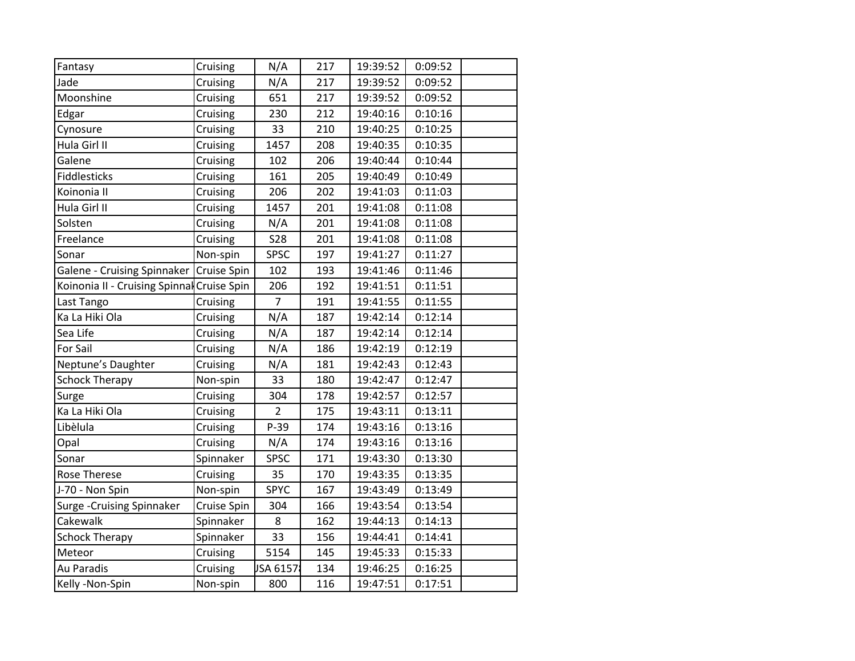| Fantasy                                    | Cruising    | N/A            | 217 | 19:39:52 | 0:09:52 |  |
|--------------------------------------------|-------------|----------------|-----|----------|---------|--|
| Jade                                       | Cruising    | N/A            | 217 | 19:39:52 | 0:09:52 |  |
| Moonshine                                  | Cruising    | 651            | 217 | 19:39:52 | 0:09:52 |  |
| Edgar                                      | Cruising    | 230            | 212 | 19:40:16 | 0:10:16 |  |
| Cynosure                                   | Cruising    | 33             | 210 | 19:40:25 | 0:10:25 |  |
| Hula Girl II                               | Cruising    | 1457           | 208 | 19:40:35 | 0:10:35 |  |
| Galene                                     | Cruising    | 102            | 206 | 19:40:44 | 0:10:44 |  |
| Fiddlesticks                               | Cruising    | 161            | 205 | 19:40:49 | 0:10:49 |  |
| Koinonia II                                | Cruising    | 206            | 202 | 19:41:03 | 0:11:03 |  |
| Hula Girl II                               | Cruising    | 1457           | 201 | 19:41:08 | 0:11:08 |  |
| Solsten                                    | Cruising    | N/A            | 201 | 19:41:08 | 0:11:08 |  |
| Freelance                                  | Cruising    | <b>S28</b>     | 201 | 19:41:08 | 0:11:08 |  |
| Sonar                                      | Non-spin    | SPSC           | 197 | 19:41:27 | 0:11:27 |  |
| Galene - Cruising Spinnaker                | Cruise Spin | 102            | 193 | 19:41:46 | 0:11:46 |  |
| Koinonia II - Cruising Spinnal Cruise Spin |             | 206            | 192 | 19:41:51 | 0:11:51 |  |
| Last Tango                                 | Cruising    | $\overline{7}$ | 191 | 19:41:55 | 0:11:55 |  |
| Ka La Hiki Ola                             | Cruising    | N/A            | 187 | 19:42:14 | 0:12:14 |  |
| Sea Life                                   | Cruising    | N/A            | 187 | 19:42:14 | 0:12:14 |  |
| For Sail                                   | Cruising    | N/A            | 186 | 19:42:19 | 0:12:19 |  |
| Neptune's Daughter                         | Cruising    | N/A            | 181 | 19:42:43 | 0:12:43 |  |
| <b>Schock Therapy</b>                      | Non-spin    | 33             | 180 | 19:42:47 | 0:12:47 |  |
| Surge                                      | Cruising    | 304            | 178 | 19:42:57 | 0:12:57 |  |
| Ka La Hiki Ola                             | Cruising    | $\overline{2}$ | 175 | 19:43:11 | 0:13:11 |  |
| Libèlula                                   | Cruising    | P-39           | 174 | 19:43:16 | 0:13:16 |  |
| Opal                                       | Cruising    | N/A            | 174 | 19:43:16 | 0:13:16 |  |
| Sonar                                      | Spinnaker   | <b>SPSC</b>    | 171 | 19:43:30 | 0:13:30 |  |
| Rose Therese                               | Cruising    | 35             | 170 | 19:43:35 | 0:13:35 |  |
| J-70 - Non Spin                            | Non-spin    | <b>SPYC</b>    | 167 | 19:43:49 | 0:13:49 |  |
| Surge - Cruising Spinnaker                 | Cruise Spin | 304            | 166 | 19:43:54 | 0:13:54 |  |
| Cakewalk                                   | Spinnaker   | 8              | 162 | 19:44:13 | 0:14:13 |  |
| <b>Schock Therapy</b>                      | Spinnaker   | 33             | 156 | 19:44:41 | 0:14:41 |  |
| Meteor                                     | Cruising    | 5154           | 145 | 19:45:33 | 0:15:33 |  |
| Au Paradis                                 | Cruising    | JSA 6157       | 134 | 19:46:25 | 0:16:25 |  |
| Kelly -Non-Spin                            | Non-spin    | 800            | 116 | 19:47:51 | 0:17:51 |  |